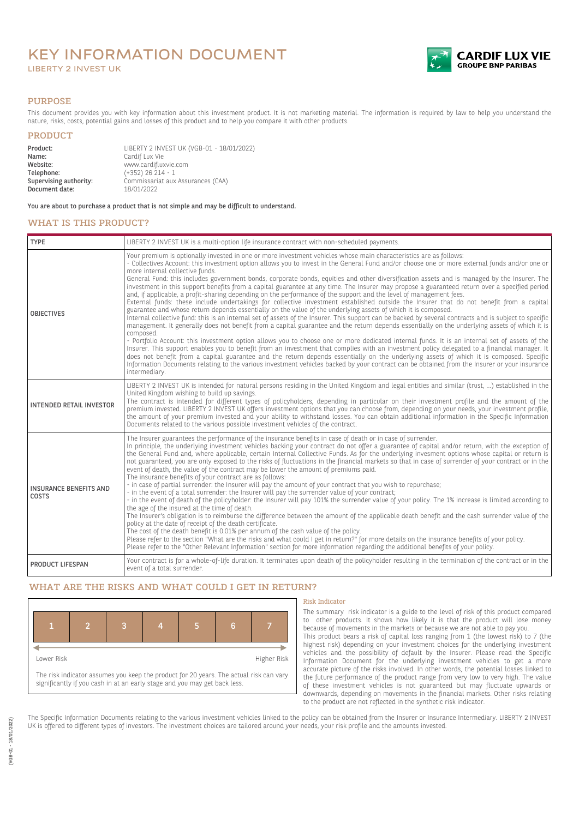# KEY INFORMATION DOCUMENT LIBERTY 2 INVEST UK



### PURPOSE

This document provides you with key information about this investment product. It is not marketing material. The information is required by law to help you understand the nature, risks, costs, potential gains and losses of this product and to help you compare it with other products.

## PRODUCT

| Product:               | LIBERTY 2 INVEST UK (VGB-01 - 18/01/2022) |  |
|------------------------|-------------------------------------------|--|
| Name:                  | Cardif Lux Vie                            |  |
| Website:               | www.cardifluxvie.com                      |  |
| Telephone:             | $(+352)$ 26 214 - 1                       |  |
| Supervising authority: | Commissariat aux Assurances (CAA)         |  |
| Document date:         | 18/01/2022                                |  |

You are about to purchase a product that is not simple and may be difficult to understand.

# WHAT IS THIS PRODUCT?

| <b>TYPE</b>                            | LIBERTY 2 INVEST UK is a multi-option life insurance contract with non-scheduled payments.                                                                                                                                                                                                                                                                                                                                                                                                                                                                                                                                                                                                                                                                                                                                                                                                                                                                                                                                                                                                                                                                                                                                                                                                                                                                                                                                                                                                                                                                                                                                                                                                                                                                                                                                                                                                                                   |  |  |
|----------------------------------------|------------------------------------------------------------------------------------------------------------------------------------------------------------------------------------------------------------------------------------------------------------------------------------------------------------------------------------------------------------------------------------------------------------------------------------------------------------------------------------------------------------------------------------------------------------------------------------------------------------------------------------------------------------------------------------------------------------------------------------------------------------------------------------------------------------------------------------------------------------------------------------------------------------------------------------------------------------------------------------------------------------------------------------------------------------------------------------------------------------------------------------------------------------------------------------------------------------------------------------------------------------------------------------------------------------------------------------------------------------------------------------------------------------------------------------------------------------------------------------------------------------------------------------------------------------------------------------------------------------------------------------------------------------------------------------------------------------------------------------------------------------------------------------------------------------------------------------------------------------------------------------------------------------------------------|--|--|
| <b>OBJECTIVES</b>                      | Your premium is optionally invested in one or more investment vehicles whose main characteristics are as follows:<br>- Collectives Account: this investment option allows you to invest in the General Fund and/or choose one or more external funds and/or one or<br>more internal collective funds.<br>General Fund: this includes government bonds, corporate bonds, equities and other diversification assets and is managed by the Insurer. The<br>investment in this support benefits from a capital guarantee at any time. The Insurer may propose a guaranteed return over a specified period<br>and, if applicable, a profit-sharing depending on the performance of the support and the level of management fees.<br>External funds: these include undertakings for collective investment established outside the Insurer that do not benefit from a capital<br>guarantee and whose return depends essentially on the value of the underlying assets of which it is composed.<br>Internal collective fund: this is an internal set of assets of the Insurer. This support can be backed by several contracts and is subject to specific<br>management. It generally does not benefit from a capital guarantee and the return depends essentially on the underlying assets of which it is<br>composed.<br>- Portfolio Account: this investment option allows you to choose one or more dedicated internal funds. It is an internal set of assets of the<br>Insurer. This support enables you to benefit from an investment that complies with an investment policy delegated to a financial manager. It<br>does not benefit from a capital guarantee and the return depends essentially on the underlying assets of which it is composed. Specific<br>Information Documents relating to the various investment vehicles backed by your contract can be obtained from the Insurer or your insurance<br>intermediary. |  |  |
| <b>INTENDED RETAIL INVESTOR</b>        | LIBERTY 2 INVEST UK is intended for natural persons residing in the United Kingdom and legal entities and similar (trust, ) established in the<br>United Kingdom wishing to build up savings.<br>The contract is intended for different types of policyholders, depending in particular on their investment profile and the amount of the<br>premium invested. LIBERTY 2 INVEST UK offers investment options that you can choose from, depending on your needs, your investment profile,<br>the amount of your premium invested and your ability to withstand losses. You can obtain additional information in the Specific Information<br>Documents related to the various possible investment vehicles of the contract.                                                                                                                                                                                                                                                                                                                                                                                                                                                                                                                                                                                                                                                                                                                                                                                                                                                                                                                                                                                                                                                                                                                                                                                                    |  |  |
| <b>INSURANCE BENEFITS AND</b><br>COSTS | The Insurer guarantees the performance of the insurance benefits in case of death or in case of surrender.<br>In principle, the underlying investment vehicles backing your contract do not offer a guarantee of capital and/or return, with the exception of<br>the General Fund and, where applicable, certain Internal Collective Funds. As for the underlying invesment options whose capital or return is<br>not guaranteed, you are only exposed to the risks of fluctuations in the financial markets so that in case of surrender of your contract or in the<br>event of death, the value of the contract may be lower the amount of premiums paid.<br>The insurance benefits of your contract are as follows:<br>- in case of partial surrender: the Insurer will pay the amount of your contract that you wish to repurchase;<br>- in the event of a total surrender: the Insurer will pay the surrender value of your contract;<br>- in the event of death of the policyholder: the Insurer will pay 101% the surrender value of your policy. The 1% increase is limited according to<br>the age of the insured at the time of death.<br>The Insurer's obligation is to reimburse the difference between the amount of the applicable death benefit and the cash surrender value of the<br>policy at the date of receipt of the death certificate.<br>The cost of the death benefit is 0.01% per annum of the cash value of the policy.<br>Please refer to the section "What are the risks and what could I get in return?" for more details on the insurance benefits of your policy.<br>Please refer to the "Other Relevant Information" section for more information regarding the additional benefits of your policy.                                                                                                                                                                                         |  |  |
| PRODUCT LIFESPAN                       | Your contract is for a whole-of-life duration. It terminates upon death of the policyholder resulting in the termination of the contract or in the<br>event of a total surrender.                                                                                                                                                                                                                                                                                                                                                                                                                                                                                                                                                                                                                                                                                                                                                                                                                                                                                                                                                                                                                                                                                                                                                                                                                                                                                                                                                                                                                                                                                                                                                                                                                                                                                                                                            |  |  |

## WHAT ARE THE RISKS AND WHAT COULD I GET IN RETURN?



#### Risk Indicator

The summary risk indicator is a guide to the level of risk of this product compared to other products. It shows how likely it is that the product will lose money because of movements in the markets or because we are not able to pay you. This product bears a risk of capital loss ranging from 1 (the lowest risk) to 7 (the

highest risk) depending on your investment choices for the underlying investment vehicles and the possibility of default by the Insurer. Please read the Specific Information Document for the underlying investment vehicles to get a more accurate picture of the risks involved. In other words, the potential losses linked to the future performance of the product range from very low to very high. The value of these investment vehicles is not guaranteed but may fluctuate upwards or downwards, depending on movements in the financial markets. Other risks relating to the product are not reflected in the synthetic risk indicator.

The Specific Information Documents relating to the various investment vehicles linked to the policy can be obtained from the Insurer or Insurance Intermediary. LIBERTY 2 INVEST UK is offered to different types of investors. The investment choices are tailored around your needs, your risk profile and the amounts invested.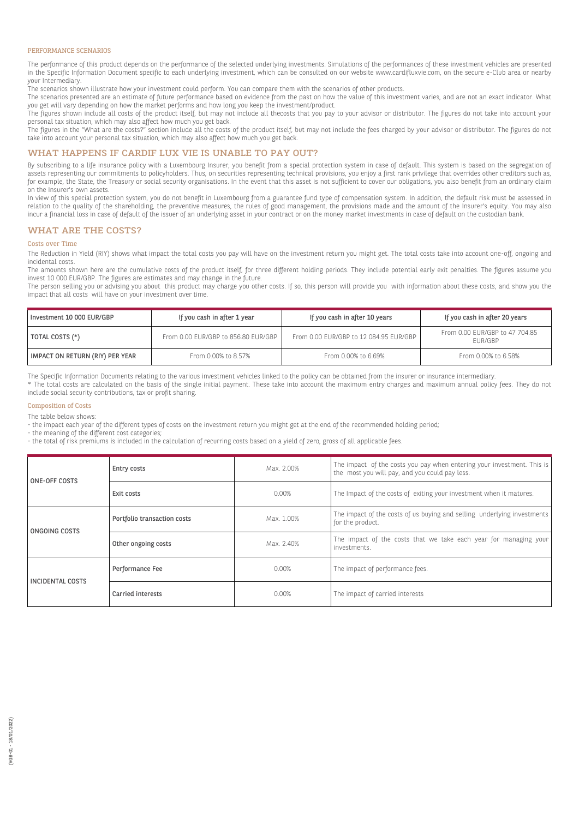#### PERFORMANCE SCENARIOS

The performance of this product depends on the performance of the selected underlying investments. Simulations of the performances of these investment vehicles are presented in the Specific Information Document specific to each underlying investment, which can be consulted on our website www.cardifluxvie.com, on the secure e-Club area or nearby your Intermediary.

The scenarios shown illustrate how your investment could perform. You can compare them with the scenarios of other products.

The scenarios presented are an estimate of future performance based on evidence from the past on how the value of this investment varies, and are not an exact indicator. What you get will vary depending on how the market performs and how long you keep the investment/product.

The figures shown include all costs of the product itself, but may not include all thecosts that you pay to your advisor or distributor. The figures do not take into account your personal tax situation, which may also affect how much you get back.

The figures in the "What are the costs?" section include all the costs of the product itself, but may not include the fees charged by your advisor or distributor. The figures do not take into account your personal tax situation, which may also affect how much you get back.

### WHAT HAPPENS IF CARDIF LUX VIE IS UNABLE TO PAY OUT?

By subscribing to a life insurance policy with a Luxembourg Insurer, you benefit from a special protection system in case of default. This system is based on the segregation of assets representing our commitments to policyholders. Thus, on securities representing technical provisions, you enjoy a first rank privilege that overrides other creditors such as, for example, the State, the Treasury or social security organisations. In the event that this asset is not sufficient to cover our obligations, you also benefit from an ordinary claim on the Insurer's own assets.

In view of this special protection system, you do not benefit in Luxembourg from a guarantee fund type of compensation system. In addition, the default risk must be assessed in relation to the quality of the shareholding, the preventive measures, the rules of good management, the provisions made and the amount of the Insurer's equity. You may also incur a financial loss in case of default of the issuer of an underlying asset in your contract or on the money market investments in case of default on the custodian bank.

#### WHAT ARE THE COSTS?

#### Costs over Time

The Reduction in Yield (RIY) shows what impact the total costs you pay will have on the investment return you might get. The total costs take into account one-off, ongoing and incidental costs.

The amounts shown here are the cumulative costs of the product itself, for three different holding periods. They include potential early exit penalties. The figures assume you invest 10 000 EUR/GBP. The figures are estimates and may change in the future.

The person selling you or advising you about this product may charge you other costs. If so, this person will provide you with information about these costs, and show you the impact that all costs will have on your investment over time.

| Investment 10 000 EUR/GBP       | If you cash in after 1 year         | If you cash in after 10 years          | If you cash in after 20 years             |
|---------------------------------|-------------------------------------|----------------------------------------|-------------------------------------------|
| TOTAL COSTS (*)                 | From 0.00 EUR/GBP to 856.80 EUR/GBP | From 0.00 EUR/GBP to 12 084.95 EUR/GBP | From 0.00 EUR/GBP to 47 704.85<br>FUR/GBP |
| IMPACT ON RETURN (RIY) PER YEAR | From 0.00% to 8.57%                 | From 0.00% to 6.69%                    | From 0.00% to 6.58%                       |

The Specific Information Documents relating to the various investment vehicles linked to the policy can be obtained from the insurer or insurance intermediary.

\* The total costs are calculated on the basis of the single initial payment. These take into account the maximum entry charges and maximum annual policy fees. They do not include social security contributions, tax or profit sharing.

#### Composition of Costs

The table below shows:

- the impact each year of the different types of costs on the investment return you might get at the end of the recommended holding period;

- the meaning of the different cost categories;

- the total of risk premiums is included in the calculation of recurring costs based on a yield of zero, gross of all applicable fees.

| ONE-OFF COSTS           | Entry costs                 | Max. 2.00% | The impact of the costs you pay when entering your investment. This is<br>the most you will pay, and you could pay less. |
|-------------------------|-----------------------------|------------|--------------------------------------------------------------------------------------------------------------------------|
|                         | Exit costs                  | $0.00\%$   | The Impact of the costs of exiting your investment when it matures.                                                      |
| ONGOING COSTS           | Portfolio transaction costs | Max. 1.00% | The impact of the costs of us buying and selling underlying investments<br>for the product.                              |
|                         | Other ongoing costs         | Max. 2.40% | The impact of the costs that we take each year for managing your<br>investments.                                         |
| <b>INCIDENTAL COSTS</b> | Performance Fee             | 0.00%      | The impact of performance fees.                                                                                          |
|                         | Carried interests           | 0.00%      | The impact of carried interests                                                                                          |